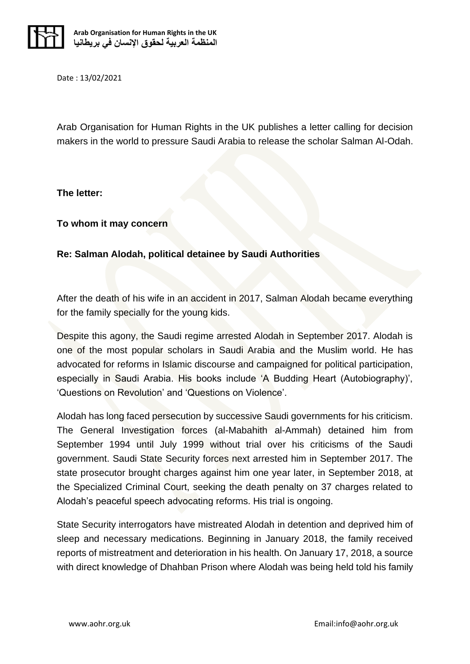

Date : 13/02/2021

Arab Organisation for Human Rights in the UK publishes a letter calling for decision makers in the world to pressure Saudi Arabia to release the scholar Salman Al-Odah.

## **The letter:**

## **To whom it may concern**

## **Re: Salman Alodah, political detainee by Saudi Authorities**

After the death of his wife in an accident in 2017, Salman Alodah became everything for the family specially for the young kids.

Despite this agony, the Saudi regime arrested Alodah in September 2017. Alodah is one of the most popular scholars in Saudi Arabia and the Muslim world. He has advocated for reforms in Islamic discourse and campaigned for political participation, especially in Saudi Arabia. His books include 'A Budding Heart (Autobiography)', 'Questions on Revolution' and 'Questions on Violence'.

Alodah has long faced persecution by successive Saudi governments for his criticism. The General Investigation forces (al-Mabahith al-Ammah) detained him from September 1994 until July 1999 without trial over his criticisms of the Saudi government. Saudi State Security forces next arrested him in September 2017. The state prosecutor brought charges against him one year later, in September 2018, at the Specialized Criminal Court, seeking the death penalty on 37 charges related to Alodah's peaceful speech advocating reforms. His trial is ongoing.

State Security interrogators have mistreated Alodah in detention and deprived him of sleep and necessary medications. Beginning in January 2018, the family received reports of mistreatment and deterioration in his health. On January 17, 2018, a source with direct knowledge of Dhahban Prison where Alodah was being held told his family